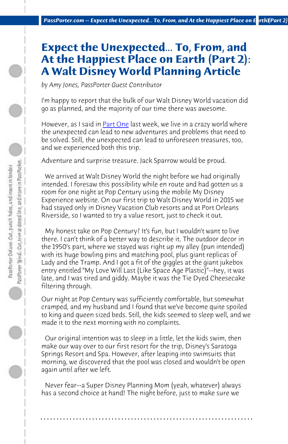*PassPorter.com -- Expect the Unexpected... To, From, and At the Happiest Place on Earth1(Part 2)* 

## **Expect the Unexpected... To, From, and At the Happiest Place on Earth (Part 2): A Walt Disney World Planning Article**

*by Amy Jones, PassPorter Guest Contributor*

I'm happy to report that the bulk of our Walt Disney World vacation did go as planned, and the majority of our time there was awesome.

However, as I said in Part One last week, we live in a crazy world where the unexpected can lead to new adventures and problems that need to be solved. Still, the unexpected can lead to unforeseen treasures, too, and we experienced both this trip.

Adventure and surprise treasure. Jack Sparrow would be proud.

 We arrived at Walt Disney World the night before we had originally intended. I foresaw this possibility while en route and had gotten us a room for one night at Pop Century using the mobile My Disney Experience website. On our first trip to Walt Disney World in 2015 we had stayed only in Disney Vacation Club resorts and at Port Orleans Riverside, so I wanted to try a value resort, just to check it out.

 My honest take on Pop Century? It's fun, but I wouldn't want to live there. I can't think of a better way to describe it. The outdoor decor in the 1950's part, where we stayed was right up my alley (pun intended) with its huge bowling pins and matching pool, plus giant replicas of Lady and the Tramp. And I got a fit of the giggles at the giant jukebox entry entitled "My Love Will Last (Like Space Age Plastic)"--hey, it was late, and I was tired and giddy. Maybe it was the Tie Dyed Cheesecake filtering through.

Our night at Pop Century was sufficiently comfortable, but somewhat cramped, and my husband and I found that we've become quite spoiled to king and queen sized beds. Still, the kids seemed to sleep well, and we made it to the next morning with no complaints.

 Our original intention was to sleep in a little, let the kids swim, then make our way over to our first resort for the trip, Disney's Saratoga Springs Resort and Spa. However, after leaping into swimsuits that morning, we discovered that the pool was closed and wouldn't be open again until after we left.

 Never fear--a Super Disney Planning Mom (yeah, whatever) always has a second choice at hand! The night before, just to make sure we

**. . . . . . . . . . . . . . . . . . . . . . . . . . . . . . . . . . . . . . . . . . . . . . . . . . . . . . . . . . . . . . . . . .**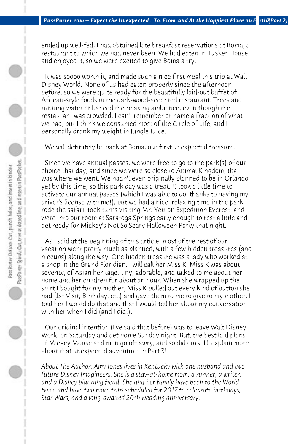ended up well-fed, I had obtained late breakfast reservations at Boma, a restaurant to which we had never been. We had eaten in Tusker House and enjoyed it, so we were excited to give Boma a try.

 It was soooo worth it, and made such a nice first meal this trip at Walt Disney World. None of us had eaten properly since the afternoon before, so we were quite ready for the beautifully laid-out buffet of African-style foods in the dark-wood-accented restaurant. Trees and running water enhanced the relaxing ambience, even though the restaurant was crowded. I can't remember or name a fraction of what we had, but I think we consumed most of the Circle of Life, and I personally drank my weight in Jungle Juice.

 We will definitely be back at Boma, our first unexpected treasure.

 Since we have annual passes, we were free to go to the park(s) of our choice that day, and since we were so close to Animal Kingdom, that was where we went. We hadn't even originally planned to be in Orlando yet by this time, so this park day was a treat. It took a little time to activate our annual passes (which I was able to do, thanks to having my driver's license with me!), but we had a nice, relaxing time in the park, rode the safari, took turns visiting Mr. Yeti on Expedition Everest, and were into our room at Saratoga Springs early enough to rest a little and get ready for Mickey's Not So Scary Halloween Party that night.

 As I said at the beginning of this article, most of the rest of our vacation went pretty much as planned, with a few hidden treasures (and hiccups) along the way. One hidden treasure was a lady who worked at a shop in the Grand Floridian. I will call her Miss K. Miss K was about seventy, of Asian heritage, tiny, adorable, and talked to me about her home and her children for about an hour. When she wrapped up the shirt I bought for my mother, Miss K pulled out every kind of button she had (1st Visit, Birthday, etc) and gave them to me to give to my mother. I told her I would do that and that I would tell her about my conversation with her when I did (and I did!).

 Our original intention (I've said that before) was to leave Walt Disney World on Saturday and get home Sunday night. But, the best laid plans of Mickey Mouse and men go oft awry, and so did ours. I'll explain more about that unexpected adventure in Part 3!

*About The Author: Amy Jones lives in Kentucky with one husband and two future Disney Imagineers. She is a stay-at-home mom, a runner, a writer, and a Disney planning fiend. She and her family have been to the World twice and have two more trips scheduled for 2017 to celebrate birthdays, Star Wars, and a long-awaited 20th wedding anniversary.*

**. . . . . . . . . . . . . . . . . . . . . . . . . . . . . . . . . . . . . . . . . . . . . . . . . . . . . . . . . . . . . . . . . .**